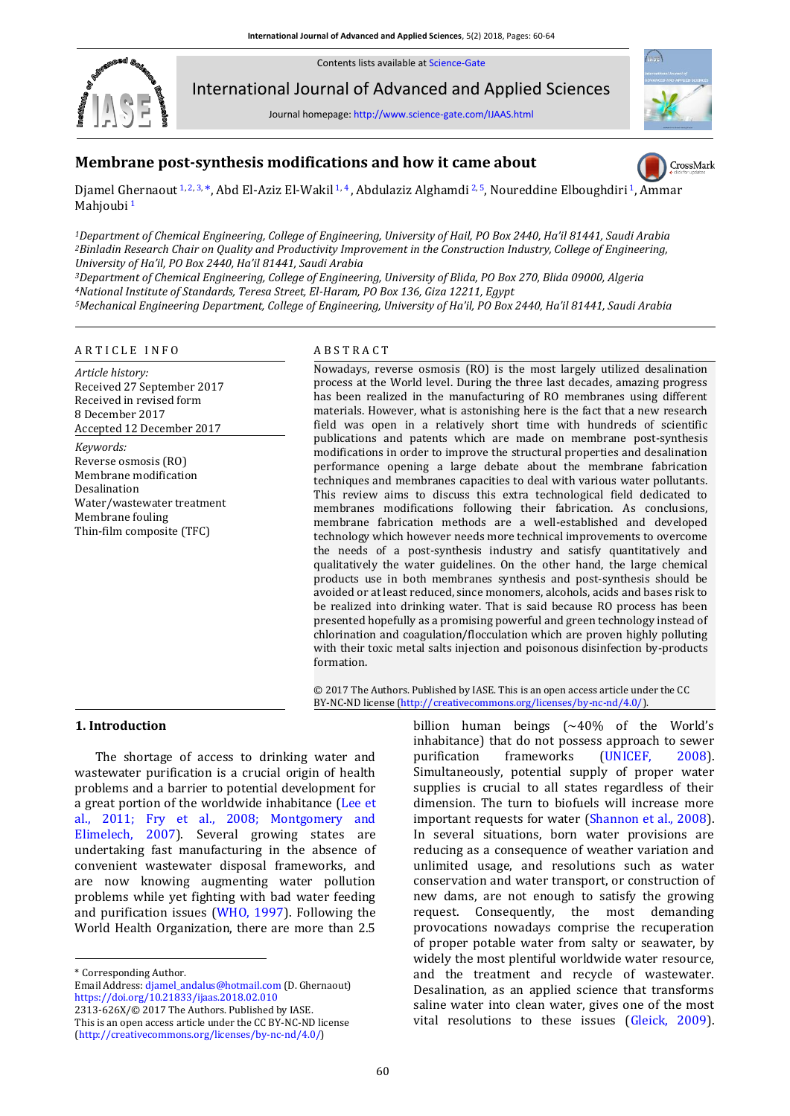Contents lists available a[t Science-Gate](http://www.science-gate.com/)



International Journal of Advanced and Applied Sciences

Journal homepage[: http://www.science-gate.com/IJAAS.html](http://www.science-gate.com/IJAAS.html)



# **Membrane post-synthesis modifications and how it came about**

CrossMark

Djamel Ghernaout [1, 2, 3,](#page-0-0) [\\*,](#page-0-1) Abd El-Aziz El-Wakil [1, 4](#page-0-0), Abdulaziz Alghamdi [2, 5](#page-0-0)[,](#page-0-0) Noureddine Elboughdiri 1, Ammar Mahioubi<sup>[1](#page-0-0)</sup>

<span id="page-0-0"></span>*<sup>1</sup>Department of Chemical Engineering, College of Engineering, University of Hail, PO Box 2440, Ha'il 81441, Saudi Arabia <sup>2</sup>Binladin Research Chair on Quality and Productivity Improvement in the Construction Industry, College of Engineering, University of Ha'il, PO Box 2440, Ha'il 81441, Saudi Arabia*

*<sup>3</sup>Department of Chemical Engineering, College of Engineering, University of Blida, PO Box 270, Blida 09000, Algeria <sup>4</sup>National Institute of Standards, Teresa Street, El-Haram, PO Box 136, Giza 12211, Egypt*

*<sup>5</sup>Mechanical Engineering Department, College of Engineering, University of Ha'il, PO Box 2440, Ha'il 81441, Saudi Arabia*

#### A R T I C L E I N F O A B S T R A C T

*Article history:* Received 27 September 2017 Received in revised form 8 December 2017 Accepted 12 December 2017 *Keywords:* Reverse osmosis (RO) Membrane modification Desalination Water/wastewater treatment Membrane fouling Thin-film composite (TFC)

Nowadays, reverse osmosis (RO) is the most largely utilized desalination process at the World level. During the three last decades, amazing progress has been realized in the manufacturing of RO membranes using different materials. However, what is astonishing here is the fact that a new research field was open in a relatively short time with hundreds of scientific publications and patents which are made on membrane post-synthesis modifications in order to improve the structural properties and desalination performance opening a large debate about the membrane fabrication techniques and membranes capacities to deal with various water pollutants. This review aims to discuss this extra technological field dedicated to membranes modifications following their fabrication. As conclusions, membrane fabrication methods are a well-established and developed technology which however needs more technical improvements to overcome the needs of a post-synthesis industry and satisfy quantitatively and qualitatively the water guidelines. On the other hand, the large chemical products use in both membranes synthesis and post-synthesis should be avoided or at least reduced, since monomers, alcohols, acids and bases risk to be realized into drinking water. That is said because RO process has been presented hopefully as a promising powerful and green technology instead of chlorination and coagulation/flocculation which are proven highly polluting with their toxic metal salts injection and poisonous disinfection by-products formation.

© 2017 The Authors. Published by IASE. This is an open access article under the CC BY-NC-ND license [\(http://creativecommons.org/licenses/by-nc-nd/4.0/\)](http://creativecommons.org/licenses/by-nc-nd/4.0/).

#### **1. Introduction**

The shortage of access to drinking water and wastewater purification is a crucial origin of health problems and a barrier to potential development for a great portion of the worldwide inhabitance [\(Lee et](#page-3-0)  [al., 2011; Fry et al., 2008; Montgomery and](#page-3-0)  [Elimelech, 2007\)](#page-3-0). Several growing states are undertaking fast manufacturing in the absence of convenient wastewater disposal frameworks, and are now knowing augmenting water pollution problems while yet fighting with bad water feeding and purification issues [\(WHO, 1997\)](#page-3-0). Following the World Health Organization, there are more than 2.5

<span id="page-0-1"></span>\* Corresponding Author.

1

Email Address[: djamel\\_andalus@hotmail.com](mailto:djamel_andalus@hotmail.com) (D. Ghernaout) <https://doi.org/10.21833/ijaas.2018.02.010>

2313-626X/© 2017 The Authors. Published by IASE. This is an open access article under the CC BY-NC-ND license

[\(http://creativecommons.org/licenses/by-nc-nd/4.0/\)](http://creativecommons.org/licenses/by-nc-nd/4.0/)

billion human beings  $(-40\% \text{ of the World's})$ inhabitance) that do not possess approach to sewer purification frameworks [\(UNICEF, 2008\)](#page-3-0). Simultaneously, potential supply of proper water supplies is crucial to all states regardless of their dimension. The turn to biofuels will increase more important requests for water [\(Shannon et al., 2008\)](#page-3-0). In several situations, born water provisions are reducing as a consequence of weather variation and unlimited usage, and resolutions such as water conservation and water transport, or construction of new dams, are not enough to satisfy the growing request. Consequently, the most demanding provocations nowadays comprise the recuperation of proper potable water from salty or seawater, by widely the most plentiful worldwide water resource, and the treatment and recycle of wastewater. Desalination, as an applied science that transforms saline water into clean water, gives one of the most vital resolutions to these issues [\(Gleick, 2009\)](#page-3-0).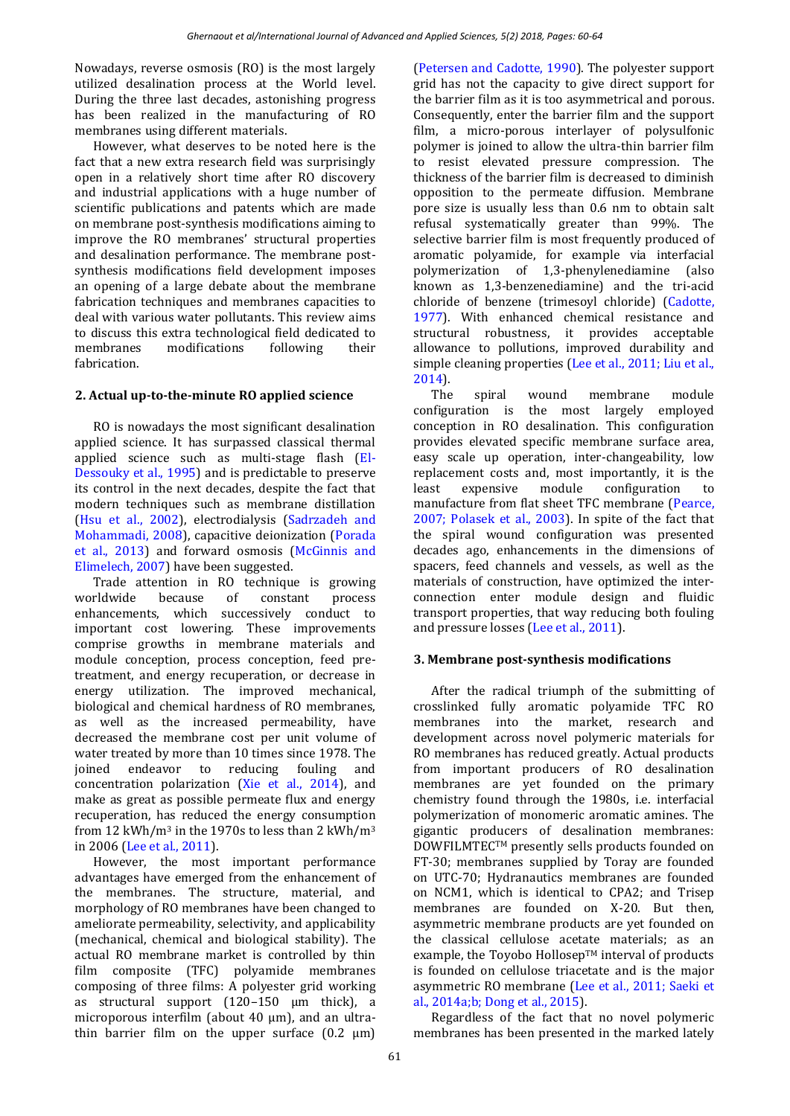Nowadays, reverse osmosis (RO) is the most largely utilized desalination process at the World level. During the three last decades, astonishing progress has been realized in the manufacturing of RO membranes using different materials.

However, what deserves to be noted here is the fact that a new extra research field was surprisingly open in a relatively short time after RO discovery and industrial applications with a huge number of scientific publications and patents which are made on membrane post-synthesis modifications aiming to improve the RO membranes' structural properties and desalination performance. The membrane postsynthesis modifications field development imposes an opening of a large debate about the membrane fabrication techniques and membranes capacities to deal with various water pollutants. This review aims to discuss this extra technological field dedicated to membranes modifications following their fabrication.

## **2. Actual up-to-the-minute RO applied science**

RO is nowadays the most significant desalination applied science. It has surpassed classical thermal applied science such as multi-stage flash [\(El-](#page-3-0)[Dessouky et al., 1995\)](#page-3-0) and is predictable to preserve its control in the next decades, despite the fact that modern techniques such as membrane distillation [\(Hsu et al., 2002\)](#page-3-0), electrodialysis [\(Sadrzadeh and](#page-3-0)  [Mohammadi, 2008\)](#page-3-0), capacitive deionization [\(Porada](#page-3-0)  [et al., 2013\)](#page-3-0) and forward osmosis [\(McGinnis and](#page-3-0)  [Elimelech, 2007\)](#page-3-0) have been suggested.

Trade attention in RO technique is growing worldwide because of constant process enhancements, which successively conduct to important cost lowering. These improvements comprise growths in membrane materials and module conception, process conception, feed pretreatment, and energy recuperation, or decrease in energy utilization. The improved mechanical, biological and chemical hardness of RO membranes, as well as the increased permeability, have decreased the membrane cost per unit volume of water treated by more than 10 times since 1978. The joined endeavor to reducing fouling and concentration polarization [\(Xie et al., 2014\)](#page-3-0), and make as great as possible permeate flux and energy recuperation, has reduced the energy consumption from 12 kWh/m<sup>3</sup> in the 1970s to less than 2 kWh/m<sup>3</sup> in 2006 [\(Lee et al., 2011\)](#page-3-0).

However, the most important performance advantages have emerged from the enhancement of the membranes. The structure, material, and morphology of RO membranes have been changed to ameliorate permeability, selectivity, and applicability (mechanical, chemical and biological stability). The actual RO membrane market is controlled by thin film composite (TFC) polyamide membranes composing of three films: A polyester grid working as structural support (120–150 μm thick), a microporous interfilm (about 40 μm), and an ultrathin barrier film on the upper surface  $(0.2 \mu m)$  [\(Petersen and Cadotte, 1990\)](#page-3-0). The polyester support grid has not the capacity to give direct support for the barrier film as it is too asymmetrical and porous. Consequently, enter the barrier film and the support film, a micro-porous interlayer of polysulfonic polymer is joined to allow the ultra-thin barrier film to resist elevated pressure compression. The thickness of the barrier film is decreased to diminish opposition to the permeate diffusion. Membrane pore size is usually less than 0.6 nm to obtain salt refusal systematically greater than 99%. The selective barrier film is most frequently produced of aromatic polyamide, for example via interfacial polymerization of 1,3-phenylenediamine (also known as 1,3-benzenediamine) and the tri-acid chloride of benzene (trimesoyl chloride) [\(Cadotte,](#page-3-0)  [1977\)](#page-3-0). With enhanced chemical resistance and structural robustness, it provides acceptable allowance to pollutions, improved durability and simple cleaning properties [\(Lee et al., 2011; Liu et al.,](#page-3-0)  [2014\)](#page-3-0).

The spiral wound membrane module configuration is the most largely employed conception in RO desalination. This configuration provides elevated specific membrane surface area, easy scale up operation, inter-changeability, low replacement costs and, most importantly, it is the least expensive module configuration to manufacture from flat sheet TFC membrane [\(Pearce,](#page-3-0)  [2007; Polasek et al., 2003\)](#page-3-0). In spite of the fact that the spiral wound configuration was presented decades ago, enhancements in the dimensions of spacers, feed channels and vessels, as well as the materials of construction, have optimized the interconnection enter module design and fluidic transport properties, that way reducing both fouling and pressure losses [\(Lee et al., 2011\)](#page-3-0).

## **3. Membrane post-synthesis modifications**

After the radical triumph of the submitting of crosslinked fully aromatic polyamide TFC RO membranes into the market, research and development across novel polymeric materials for RO membranes has reduced greatly. Actual products from important producers of RO desalination membranes are yet founded on the primary chemistry found through the 1980s, i.e. interfacial polymerization of monomeric aromatic amines. The gigantic producers of desalination membranes: DOWFILMTECTM presently sells products founded on FT-30; membranes supplied by Toray are founded on UTC-70; Hydranautics membranes are founded on NCM1, which is identical to CPA2; and Trisep membranes are founded on X-20. But then, asymmetric membrane products are yet founded on the classical cellulose acetate materials; as an example, the Toyobo Hollosep™ interval of products is founded on cellulose triacetate and is the major asymmetric RO membrane [\(Lee et al., 2011; Saeki et](#page-3-0)  [al., 2014a;b; Dong et al., 2015\)](#page-3-0).

Regardless of the fact that no novel polymeric membranes has been presented in the marked lately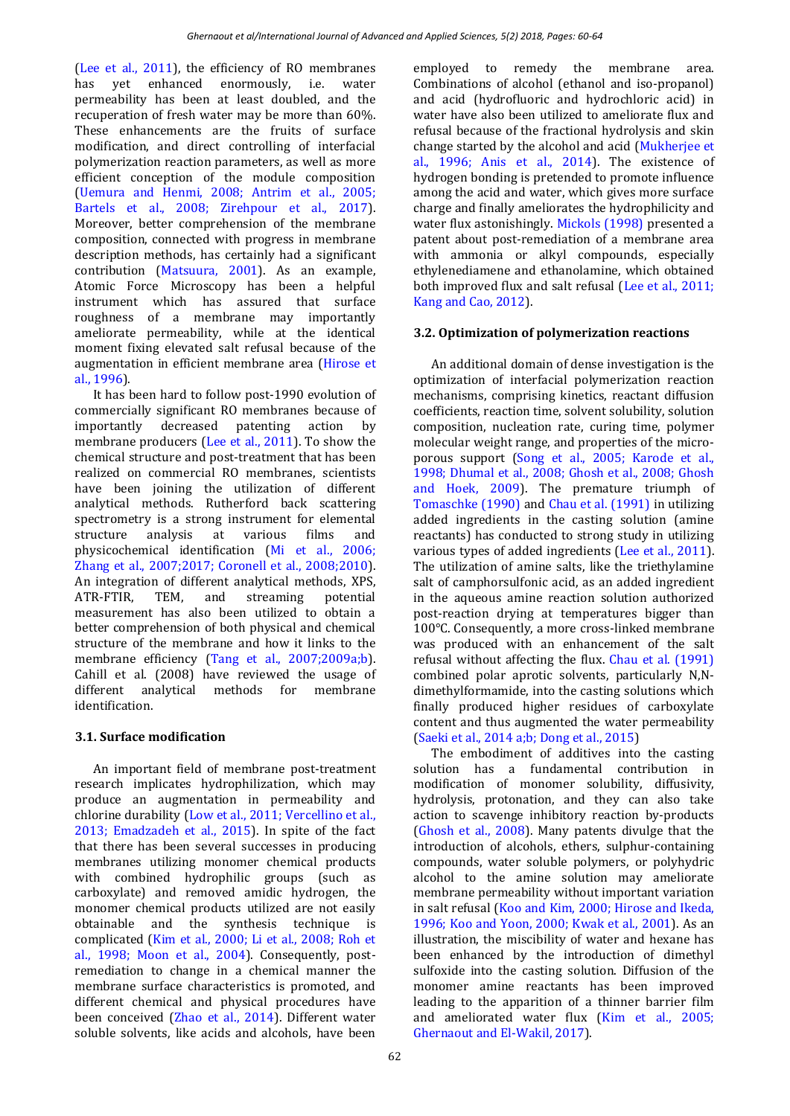[\(Lee et al., 2011\)](#page-3-0), the efficiency of RO membranes has yet enhanced enormously, i.e. water permeability has been at least doubled, and the recuperation of fresh water may be more than 60%. These enhancements are the fruits of surface modification, and direct controlling of interfacial polymerization reaction parameters, as well as more efficient conception of the module composition [\(Uemura and Henmi, 2008; Antrim et al., 2005;](#page-3-0)  [Bartels et al., 2008; Zirehpour](#page-3-0) et al., 2017). Moreover, better comprehension of the membrane composition, connected with progress in membrane description methods, has certainly had a significant contribution [\(Matsuura, 2001\)](#page-3-0). As an example, Atomic Force Microscopy has been a helpful instrument which has assured that surface roughness of a membrane may importantly ameliorate permeability, while at the identical moment fixing elevated salt refusal because of the augmentation in efficient membrane area [\(Hirose et](#page-3-0)  [al., 1996\)](#page-3-0).

It has been hard to follow post-1990 evolution of commercially significant RO membranes because of importantly decreased patenting action by membrane producers [\(Lee et al., 2011\)](#page-3-0). To show the chemical structure and post-treatment that has been realized on commercial RO membranes, scientists have been joining the utilization of different analytical methods. Rutherford back scattering spectrometry is a strong instrument for elemental structure analysis at various films and physicochemical identification (Mi et [al., 2006;](#page-3-0)  [Zhang et al., 2007;2017; Coronell et al., 2008;2010\)](#page-3-0). An integration of different analytical methods, XPS, ATR-FTIR, TEM, and streaming potential measurement has also been utilized to obtain a better comprehension of both physical and chemical structure of the membrane and how it links to the membrane efficiency [\(Tang et al., 2007;2009a;b\)](#page-3-0). Cahill et al. (2008) have reviewed the usage of different analytical methods for membrane identification.

## **3.1. Surface modification**

An important field of membrane post-treatment research implicates hydrophilization, which may produce an augmentation in permeability and chlorine durability [\(Low et al., 2011; Vercellino et al.,](#page-3-0)  [2013; Emadzadeh et al., 2015\)](#page-3-0). In spite of the fact that there has been several successes in producing membranes utilizing monomer chemical products with combined hydrophilic groups (such as carboxylate) and removed amidic hydrogen, the monomer chemical products utilized are not easily obtainable and the synthesis technique is complicated [\(Kim et al., 2000; Li et al., 2008; Roh et](#page-3-0)  [al., 1998; Moon et al., 2004\)](#page-3-0). Consequently, postremediation to change in a chemical manner the membrane surface characteristics is promoted, and different chemical and physical procedures have been conceived [\(Zhao et al., 2014\)](#page-3-0). Different water soluble solvents, like acids and alcohols, have been employed to remedy the membrane area. Combinations of alcohol (ethanol and iso-propanol) and acid (hydrofluoric and hydrochloric acid) in water have also been utilized to ameliorate flux and refusal because of the fractional hydrolysis and skin change started by the alcohol and acid [\(Mukherjee et](#page-3-0)  [al., 1996; Anis et al., 2014\)](#page-3-0). The existence of hydrogen bonding is pretended to promote influence among the acid and water, which gives more surface charge and finally ameliorates the hydrophilicity and water flux astonishingly. [Mickols \(1998\)](#page-3-0) presented a patent about post-remediation of a membrane area with ammonia or alkyl compounds, especially ethylenediamene and ethanolamine, which obtained both improved flux and salt refusal [\(Lee et al., 2011;](#page-3-0)  [Kang and Cao, 2012\)](#page-3-0).

## **3.2. Optimization of polymerization reactions**

An additional domain of dense investigation is the optimization of interfacial polymerization reaction mechanisms, comprising kinetics, reactant diffusion coefficients, reaction time, solvent solubility, solution composition, nucleation rate, curing time, polymer molecular weight range, and properties of the microporous support [\(Song et al., 2005; Karode et al.,](#page-3-0)  [1998; Dhumal et al., 2008; Ghosh et al., 2008; Ghosh](#page-3-0)  [and Hoek, 2009\)](#page-3-0). The premature triumph of [Tomaschke \(1990\)](#page-3-0) an[d Chau et al. \(1991\)](#page-3-0) in utilizing added ingredients in the casting solution (amine reactants) has conducted to strong study in utilizing various types of added ingredients [\(Lee et al., 2011\)](#page-3-0). The utilization of amine salts, like the triethylamine salt of camphorsulfonic acid, as an added ingredient in the aqueous amine reaction solution authorized post-reaction drying at temperatures bigger than 100°C. Consequently, a more cross-linked membrane was produced with an enhancement of the salt refusal without affecting the flux. [Chau et al. \(1991\)](#page-3-0) combined polar aprotic solvents, particularly N,Ndimethylformamide, into the casting solutions which finally produced higher residues of carboxylate content and thus augmented the water permeability [\(Saeki et al., 2014 a;b; Dong et al., 2015\)](#page-3-0)

The embodiment of additives into the casting solution has a fundamental contribution in modification of monomer solubility, diffusivity, hydrolysis, protonation, and they can also take action to scavenge inhibitory reaction by-products [\(Ghosh et al., 2008\)](#page-3-0). Many patents divulge that the introduction of alcohols, ethers, sulphur-containing compounds, water soluble polymers, or polyhydric alcohol to the amine solution may ameliorate membrane permeability without important variation in salt refusal [\(Koo and Kim, 2000; Hirose and Ikeda,](#page-3-0)  [1996; Koo and Yoon, 2000; Kwak et al., 2001\)](#page-3-0). As an illustration, the miscibility of water and hexane has been enhanced by the introduction of dimethyl sulfoxide into the casting solution. Diffusion of the monomer amine reactants has been improved leading to the apparition of a thinner barrier film and ameliorated water flux [\(Kim et al., 2005;](#page-3-0)  [Ghernaout and El-Wakil, 2017\)](#page-3-0).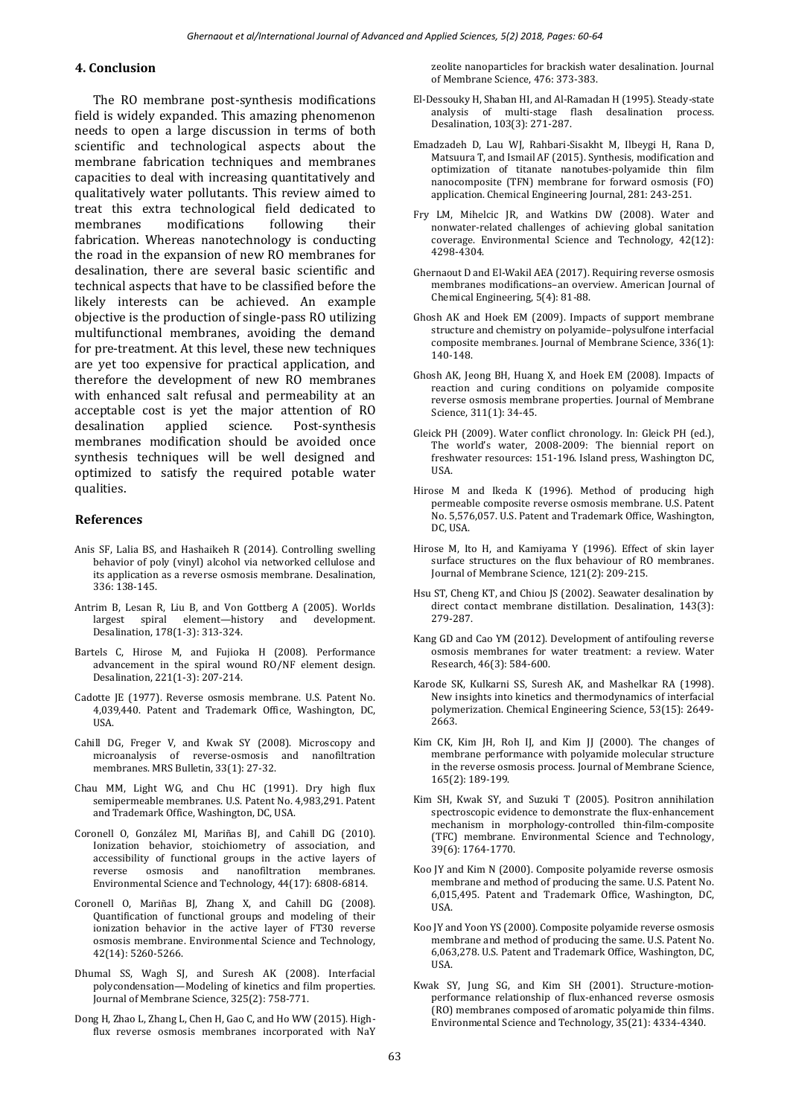#### **4. Conclusion**

The RO membrane post-synthesis modifications field is widely expanded. This amazing phenomenon needs to open a large discussion in terms of both scientific and technological aspects about the membrane fabrication techniques and membranes capacities to deal with increasing quantitatively and qualitatively water pollutants. This review aimed to treat this extra technological field dedicated to membranes modifications following their fabrication. Whereas nanotechnology is conducting the road in the expansion of new RO membranes for desalination, there are several basic scientific and technical aspects that have to be classified before the likely interests can be achieved. An example objective is the production of single-pass RO utilizing multifunctional membranes, avoiding the demand for pre-treatment. At this level, these new techniques are yet too expensive for practical application, and therefore the development of new RO membranes with enhanced salt refusal and permeability at an acceptable cost is yet the major attention of RO desalination applied science. Post-synthesis membranes modification should be avoided once synthesis techniques will be well designed and optimized to satisfy the required potable water qualities.

#### <span id="page-3-0"></span>**References**

- Anis SF, Lalia BS, and Hashaikeh R (2014). Controlling swelling behavior of poly (vinyl) alcohol via networked cellulose and its application as a reverse osmosis membrane. Desalination, 336: 138-145.
- Antrim B, Lesan R, Liu B, and Von Gottberg A (2005). Worlds largest spiral element—history and development. Desalination, 178(1-3): 313-324.
- Bartels C, Hirose M, and Fujioka H (2008). Performance advancement in the spiral wound RO/NF element design. Desalination, 221(1-3): 207-214.
- Cadotte JE (1977). Reverse osmosis membrane. U.S. Patent No. 4,039,440. Patent and Trademark Office, Washington, DC, USA.
- Cahill DG, Freger V, and Kwak SY (2008). Microscopy and microanalysis of reverse-osmosis and nanofiltration membranes. MRS Bulletin, 33(1): 27-32.
- Chau MM, Light WG, and Chu HC (1991). Dry high flux semipermeable membranes. U.S. Patent No. 4,983,291. Patent and Trademark Office, Washington, DC, USA.
- Coronell O, González MI, Mariñas BJ, and Cahill DG (2010). Ionization behavior, stoichiometry of association, and accessibility of functional groups in the active layers of reverse osmosis and nanofiltration membranes. Environmental Science and Technology, 44(17): 6808-6814.
- Coronell O, Mariñas BJ, Zhang X, and Cahill DG (2008). Quantification of functional groups and modeling of their ionization behavior in the active layer of FT30 reverse osmosis membrane. Environmental Science and Technology, 42(14): 5260-5266.
- Dhumal SS, Wagh SJ, and Suresh AK (2008). Interfacial polycondensation—Modeling of kinetics and film properties. Journal of Membrane Science, 325(2): 758-771.
- Dong H, Zhao L, Zhang L, Chen H, Gao C, and Ho WW (2015). Highflux reverse osmosis membranes incorporated with NaY

zeolite nanoparticles for brackish water desalination. Journal of Membrane Science, 476: 373-383.

- El-Dessouky H, Shaban HI, and Al-Ramadan H (1995). Steady-state analysis of multi-stage flash desalination process. Desalination, 103(3): 271-287.
- Emadzadeh D, Lau WJ, Rahbari-Sisakht M, Ilbeygi H, Rana D, Matsuura T, and Ismail AF (2015). Synthesis, modification and optimization of titanate nanotubes-polyamide thin film nanocomposite (TFN) membrane for forward osmosis (FO) application. Chemical Engineering Journal, 281: 243-251.
- Fry LM, Mihelcic JR, and Watkins DW (2008). Water and nonwater-related challenges of achieving global sanitation coverage. Environmental Science and Technology, 42(12): 4298-4304.
- Ghernaout D and El-Wakil AEA (2017). Requiring reverse osmosis membranes modifications–an overview. American Journal of Chemical Engineering, 5(4): 81-88.
- Ghosh AK and Hoek EM (2009). Impacts of support membrane structure and chemistry on polyamide–polysulfone interfacial composite membranes. Journal of Membrane Science, 336(1): 140-148.
- Ghosh AK, Jeong BH, Huang X, and Hoek EM (2008). Impacts of reaction and curing conditions on polyamide composite reverse osmosis membrane properties. Journal of Membrane Science, 311(1): 34-45.
- Gleick PH (2009). Water conflict chronology. In: Gleick PH (ed.), The world's water, 2008-2009: The biennial report on freshwater resources: 151-196. Island press, Washington DC, USA.
- Hirose M and Ikeda K (1996). Method of producing high permeable composite reverse osmosis membrane. U.S. Patent No. 5,576,057. U.S. Patent and Trademark Office, Washington, DC, USA.
- Hirose M, Ito H, and Kamiyama Y (1996). Effect of skin layer surface structures on the flux behaviour of RO membranes. Journal of Membrane Science, 121(2): 209-215.
- Hsu ST, Cheng KT, and Chiou JS (2002). Seawater desalination by direct contact membrane distillation. Desalination, 143(3): 279-287.
- Kang GD and Cao YM (2012). Development of antifouling reverse osmosis membranes for water treatment: a review. Water Research, 46(3): 584-600.
- Karode SK, Kulkarni SS, Suresh AK, and Mashelkar RA (1998). New insights into kinetics and thermodynamics of interfacial polymerization. Chemical Engineering Science, 53(15): 2649- 2663.
- Kim CK, Kim JH, Roh IJ, and Kim JJ (2000). The changes of membrane performance with polyamide molecular structure in the reverse osmosis process. Journal of Membrane Science, 165(2): 189-199.
- Kim SH, Kwak SY, and Suzuki T (2005). Positron annihilation spectroscopic evidence to demonstrate the flux-enhancement mechanism in morphology-controlled thin-film-composite (TFC) membrane. Environmental Science and Technology, 39(6): 1764-1770.
- Koo JY and Kim N (2000). Composite polyamide reverse osmosis membrane and method of producing the same. U.S. Patent No. 6,015,495. Patent and Trademark Office, Washington, DC, USA.
- Koo JY and Yoon YS (2000). Composite polyamide reverse osmosis membrane and method of producing the same. U.S. Patent No. 6,063,278. U.S. Patent and Trademark Office, Washington, DC, USA.
- Kwak SY, Jung SG, and Kim SH (2001). Structure-motionperformance relationship of flux-enhanced reverse osmosis (RO) membranes composed of aromatic polyamide thin films. Environmental Science and Technology, 35(21): 4334-4340.